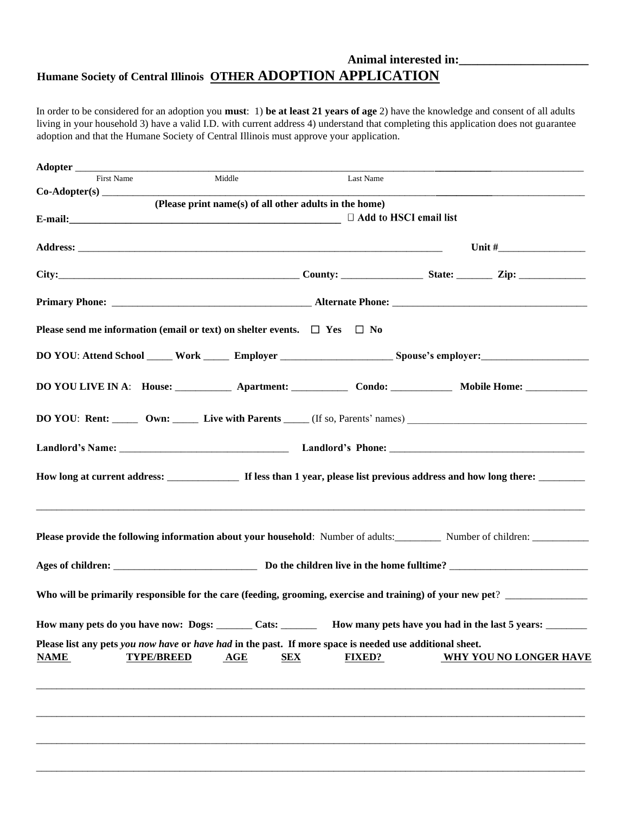## **Animal interested in:\_\_\_\_\_\_\_\_\_\_\_\_\_\_\_\_\_\_\_\_\_ Humane Society of Central Illinois OTHER ADOPTION APPLICATION**

In order to be considered for an adoption you **must**: 1) **be at least 21 years of age** 2) have the knowledge and consent of all adults living in your household 3) have a valid I.D. with current address 4) understand that completing this application does not guarantee adoption and that the Humane Society of Central Illinois must approve your application.

| Adopter                                                                                                                                      |                                                        |                             |                               |                                                                                                                     |  |  |  |
|----------------------------------------------------------------------------------------------------------------------------------------------|--------------------------------------------------------|-----------------------------|-------------------------------|---------------------------------------------------------------------------------------------------------------------|--|--|--|
| First Name                                                                                                                                   | Middle                                                 | Last Name                   |                               |                                                                                                                     |  |  |  |
| $Co-Adopter(s)$                                                                                                                              | (Please print name(s) of all other adults in the home) |                             |                               |                                                                                                                     |  |  |  |
|                                                                                                                                              |                                                        |                             | $\Box$ Add to HSCI email list |                                                                                                                     |  |  |  |
|                                                                                                                                              |                                                        |                             |                               |                                                                                                                     |  |  |  |
|                                                                                                                                              |                                                        |                             |                               |                                                                                                                     |  |  |  |
|                                                                                                                                              |                                                        |                             |                               |                                                                                                                     |  |  |  |
|                                                                                                                                              |                                                        |                             |                               |                                                                                                                     |  |  |  |
| Please send me information (email or text) on shelter events. $\Box$ Yes $\Box$ No                                                           |                                                        |                             |                               |                                                                                                                     |  |  |  |
|                                                                                                                                              |                                                        |                             |                               |                                                                                                                     |  |  |  |
|                                                                                                                                              |                                                        |                             |                               | DO YOU LIVE IN A: House: _____________ Apartment: ________________ Condo: _______________ Mobile Home: ____________ |  |  |  |
|                                                                                                                                              |                                                        |                             |                               |                                                                                                                     |  |  |  |
|                                                                                                                                              |                                                        |                             |                               |                                                                                                                     |  |  |  |
|                                                                                                                                              |                                                        |                             |                               |                                                                                                                     |  |  |  |
|                                                                                                                                              |                                                        |                             |                               |                                                                                                                     |  |  |  |
|                                                                                                                                              |                                                        |                             |                               |                                                                                                                     |  |  |  |
| Who will be primarily responsible for the care (feeding, grooming, exercise and training) of your new pet?                                   |                                                        |                             |                               |                                                                                                                     |  |  |  |
| How many pets do you have now: Dogs: ______ Cats: _______ How many pets have you had in the last 5 years: _______                            |                                                        |                             |                               |                                                                                                                     |  |  |  |
| Please list any pets you now have or have had in the past. If more space is needed use additional sheet.<br><b>NAME</b><br><b>TYPE/BREED</b> | AGE                                                    | <b>SEX</b><br><b>FIXED?</b> |                               | <b>WHY YOU NO LONGER HAVE</b>                                                                                       |  |  |  |
|                                                                                                                                              |                                                        |                             |                               |                                                                                                                     |  |  |  |
|                                                                                                                                              |                                                        |                             |                               |                                                                                                                     |  |  |  |
|                                                                                                                                              |                                                        |                             |                               |                                                                                                                     |  |  |  |
|                                                                                                                                              |                                                        |                             |                               |                                                                                                                     |  |  |  |
|                                                                                                                                              |                                                        |                             |                               |                                                                                                                     |  |  |  |